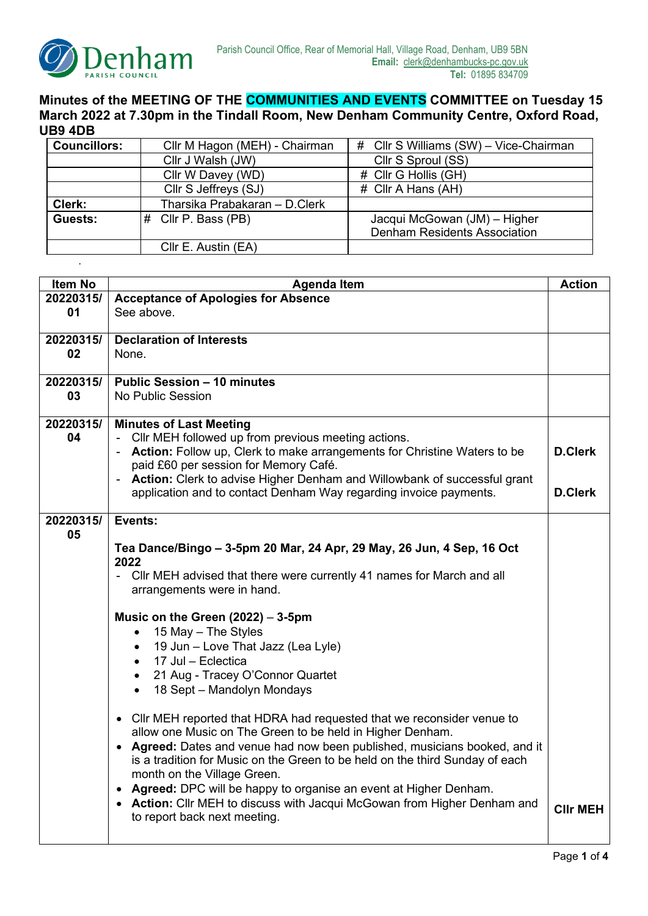

.

## **Minutes of the MEETING OF THE COMMUNITIES AND EVENTS COMMITTEE on Tuesday 15 March 2022 at 7.30pm in the Tindall Room, New Denham Community Centre, Oxford Road, UB9 4DB**

| <b>Councillors:</b> | Cllr M Hagon (MEH) - Chairman | # Cllr S Williams (SW) - Vice-Chairman |
|---------------------|-------------------------------|----------------------------------------|
|                     | Cllr J Walsh (JW)             | Cllr S Sproul (SS)                     |
|                     | Cllr W Davey (WD)             | # Cllr G Hollis (GH)                   |
|                     | Cllr S Jeffreys (SJ)          | # Cllr A Hans (AH)                     |
| Clerk:              | Tharsika Prabakaran - D.Clerk |                                        |
| Guests:             | # Cllr P. Bass (PB)           | Jacqui McGowan (JM) - Higher           |
|                     |                               | <b>Denham Residents Association</b>    |
|                     | Cllr E. Austin (EA)           |                                        |

| Item No   | <b>Agenda Item</b>                                                                                       |                 |  |
|-----------|----------------------------------------------------------------------------------------------------------|-----------------|--|
| 20220315/ | <b>Acceptance of Apologies for Absence</b>                                                               |                 |  |
| 01        | See above.                                                                                               |                 |  |
| 20220315/ | <b>Declaration of Interests</b>                                                                          |                 |  |
| 02        | None.                                                                                                    |                 |  |
|           |                                                                                                          |                 |  |
| 20220315/ | <b>Public Session - 10 minutes</b>                                                                       |                 |  |
| 03        | No Public Session                                                                                        |                 |  |
| 20220315/ | <b>Minutes of Last Meeting</b>                                                                           |                 |  |
| 04        | - Cllr MEH followed up from previous meeting actions.                                                    |                 |  |
|           | Action: Follow up, Clerk to make arrangements for Christine Waters to be<br><b>D.Clerk</b>               |                 |  |
|           | paid £60 per session for Memory Café.                                                                    |                 |  |
|           | - Action: Clerk to advise Higher Denham and Willowbank of successful grant                               |                 |  |
|           | application and to contact Denham Way regarding invoice payments.                                        | <b>D.Clerk</b>  |  |
| 20220315/ | Events:                                                                                                  |                 |  |
| 05        |                                                                                                          |                 |  |
|           | Tea Dance/Bingo – 3-5pm 20 Mar, 24 Apr, 29 May, 26 Jun, 4 Sep, 16 Oct                                    |                 |  |
|           | 2022                                                                                                     |                 |  |
|           | - Cllr MEH advised that there were currently 41 names for March and all                                  |                 |  |
|           | arrangements were in hand.                                                                               |                 |  |
|           | Music on the Green $(2022) - 3-5$ pm                                                                     |                 |  |
|           | 15 May - The Styles                                                                                      |                 |  |
|           | 19 Jun - Love That Jazz (Lea Lyle)                                                                       |                 |  |
|           | • 17 Jul - Eclectica                                                                                     |                 |  |
|           | 21 Aug - Tracey O'Connor Quartet                                                                         |                 |  |
|           | 18 Sept - Mandolyn Mondays<br>$\bullet$                                                                  |                 |  |
|           | • Cllr MEH reported that HDRA had requested that we reconsider venue to                                  |                 |  |
|           | allow one Music on The Green to be held in Higher Denham.                                                |                 |  |
|           | • Agreed: Dates and venue had now been published, musicians booked, and it                               |                 |  |
|           | is a tradition for Music on the Green to be held on the third Sunday of each                             |                 |  |
|           | month on the Village Green.                                                                              |                 |  |
|           | Agreed: DPC will be happy to organise an event at Higher Denham.                                         |                 |  |
|           | • Action: Cllr MEH to discuss with Jacqui McGowan from Higher Denham and<br>to report back next meeting. | <b>CIIr MEH</b> |  |
|           |                                                                                                          |                 |  |
|           |                                                                                                          |                 |  |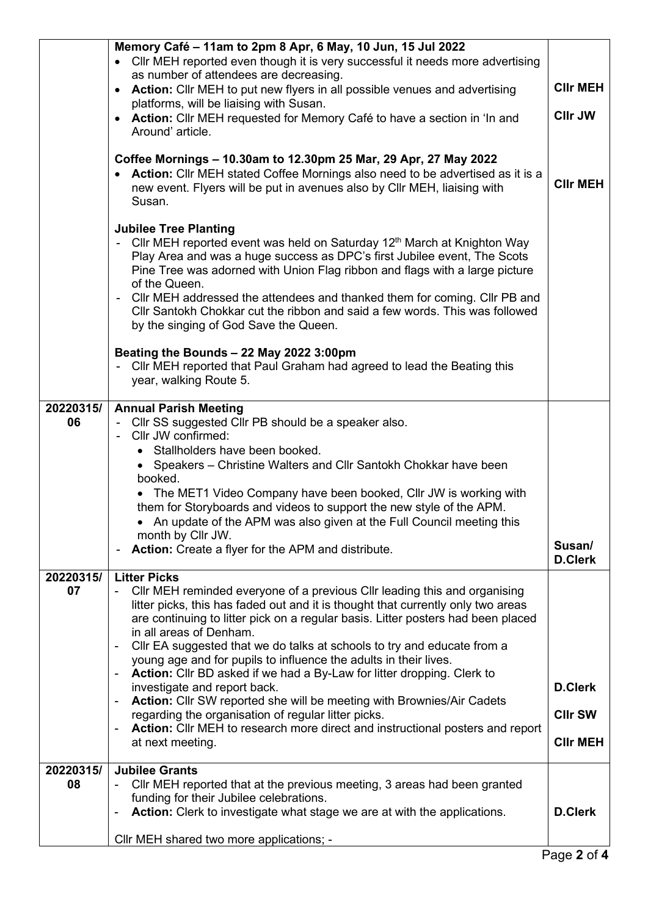|           | Memory Café - 11am to 2pm 8 Apr, 6 May, 10 Jun, 15 Jul 2022                                                                                             |                          |  |
|-----------|---------------------------------------------------------------------------------------------------------------------------------------------------------|--------------------------|--|
|           | Cllr MEH reported even though it is very successful it needs more advertising<br>$\bullet$                                                              |                          |  |
|           | as number of attendees are decreasing.<br>Action: Cllr MEH to put new flyers in all possible venues and advertising<br>$\bullet$                        |                          |  |
|           | platforms, will be liaising with Susan.                                                                                                                 | <b>CIIr MEH</b>          |  |
|           | <b>Action:</b> Cllr MEH requested for Memory Café to have a section in 'In and<br>$\bullet$                                                             | <b>CIIr JW</b>           |  |
|           | Around' article.                                                                                                                                        |                          |  |
|           | Coffee Mornings - 10.30am to 12.30pm 25 Mar, 29 Apr, 27 May 2022                                                                                        |                          |  |
|           | <b>Action:</b> Cllr MEH stated Coffee Mornings also need to be advertised as it is a                                                                    |                          |  |
|           | new event. Flyers will be put in avenues also by Cllr MEH, liaising with                                                                                | <b>CIIr MEH</b>          |  |
|           | Susan.                                                                                                                                                  |                          |  |
|           | <b>Jubilee Tree Planting</b>                                                                                                                            |                          |  |
|           | - Cllr MEH reported event was held on Saturday 12 <sup>th</sup> March at Knighton Way                                                                   |                          |  |
|           | Play Area and was a huge success as DPC's first Jubilee event, The Scots<br>Pine Tree was adorned with Union Flag ribbon and flags with a large picture |                          |  |
|           | of the Queen.                                                                                                                                           |                          |  |
|           | CIIr MEH addressed the attendees and thanked them for coming. CIIr PB and                                                                               |                          |  |
|           | CIIr Santokh Chokkar cut the ribbon and said a few words. This was followed                                                                             |                          |  |
|           | by the singing of God Save the Queen.                                                                                                                   |                          |  |
|           | Beating the Bounds - 22 May 2022 3:00pm                                                                                                                 |                          |  |
|           | Cllr MEH reported that Paul Graham had agreed to lead the Beating this<br>$\blacksquare$                                                                |                          |  |
|           | year, walking Route 5.                                                                                                                                  |                          |  |
| 20220315/ | <b>Annual Parish Meeting</b>                                                                                                                            |                          |  |
| 06        | - Cllr SS suggested Cllr PB should be a speaker also.                                                                                                   |                          |  |
|           | Cllr JW confirmed:<br>• Stallholders have been booked.                                                                                                  |                          |  |
|           | Speakers – Christine Walters and Cllr Santokh Chokkar have been<br>$\bullet$                                                                            |                          |  |
|           | booked.                                                                                                                                                 |                          |  |
|           | The MET1 Video Company have been booked, Cllr JW is working with                                                                                        |                          |  |
|           | them for Storyboards and videos to support the new style of the APM.<br>An update of the APM was also given at the Full Council meeting this            |                          |  |
|           | month by Cllr JW.                                                                                                                                       |                          |  |
|           | Action: Create a flyer for the APM and distribute.<br>$\blacksquare$                                                                                    | Susan/<br><b>D.Clerk</b> |  |
| 20220315/ | <b>Litter Picks</b>                                                                                                                                     |                          |  |
| 07        | CIIr MEH reminded everyone of a previous CIIr leading this and organising                                                                               |                          |  |
|           | litter picks, this has faded out and it is thought that currently only two areas                                                                        |                          |  |
|           | are continuing to litter pick on a regular basis. Litter posters had been placed<br>in all areas of Denham.                                             |                          |  |
|           | CIIr EA suggested that we do talks at schools to try and educate from a<br>$\blacksquare$                                                               |                          |  |
|           | young age and for pupils to influence the adults in their lives.                                                                                        |                          |  |
|           | Action: Cllr BD asked if we had a By-Law for litter dropping. Clerk to<br>$\blacksquare$<br>investigate and report back.                                | <b>D.Clerk</b>           |  |
|           | Action: Cllr SW reported she will be meeting with Brownies/Air Cadets                                                                                   |                          |  |
|           | regarding the organisation of regular litter picks.                                                                                                     | <b>CIIr SW</b>           |  |
|           | Action: Cllr MEH to research more direct and instructional posters and report<br>at next meeting.                                                       | <b>CIIr MEH</b>          |  |
|           |                                                                                                                                                         |                          |  |
| 20220315/ | <b>Jubilee Grants</b>                                                                                                                                   |                          |  |
| 08        | CIIr MEH reported that at the previous meeting, 3 areas had been granted<br>funding for their Jubilee celebrations.                                     |                          |  |
|           | Action: Clerk to investigate what stage we are at with the applications.<br>$\overline{\phantom{a}}$                                                    | <b>D.Clerk</b>           |  |
|           |                                                                                                                                                         |                          |  |
|           | Cllr MEH shared two more applications; -                                                                                                                |                          |  |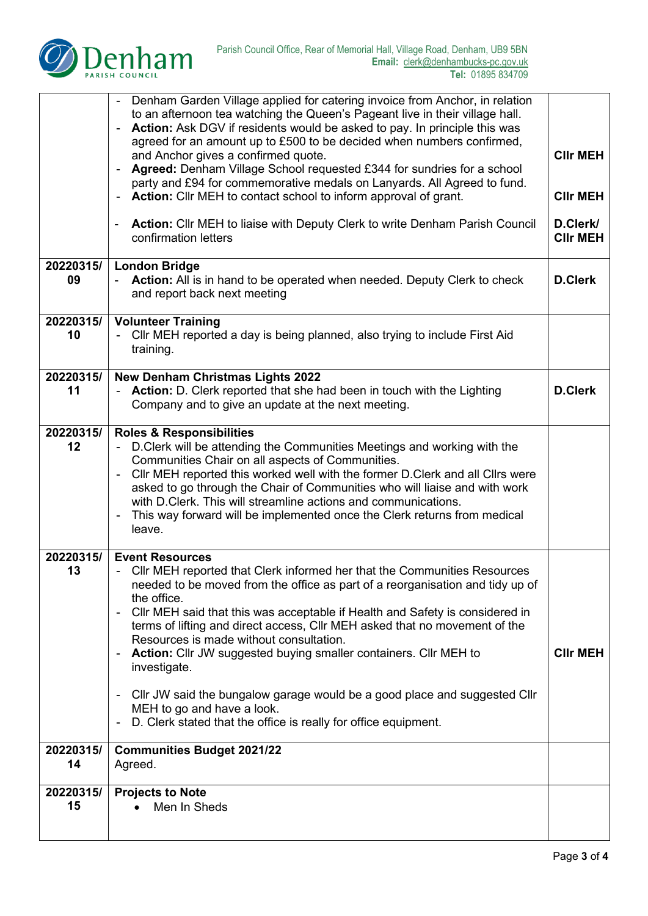

|                 | Denham Garden Village applied for catering invoice from Anchor, in relation<br>to an afternoon tea watching the Queen's Pageant live in their village hall.<br>Action: Ask DGV if residents would be asked to pay. In principle this was<br>$\qquad \qquad \blacksquare$<br>agreed for an amount up to £500 to be decided when numbers confirmed,<br>and Anchor gives a confirmed quote.<br>Agreed: Denham Village School requested £344 for sundries for a school<br>party and £94 for commemorative medals on Lanyards. All Agreed to fund.<br>Action: Cllr MEH to contact school to inform approval of grant.<br>Action: Cllr MEH to liaise with Deputy Clerk to write Denham Parish Council<br>confirmation letters       | <b>CIIr MEH</b><br><b>CIIr MEH</b><br>D.Clerk/<br><b>CIIr MEH</b> |
|-----------------|-------------------------------------------------------------------------------------------------------------------------------------------------------------------------------------------------------------------------------------------------------------------------------------------------------------------------------------------------------------------------------------------------------------------------------------------------------------------------------------------------------------------------------------------------------------------------------------------------------------------------------------------------------------------------------------------------------------------------------|-------------------------------------------------------------------|
| 20220315/       | <b>London Bridge</b>                                                                                                                                                                                                                                                                                                                                                                                                                                                                                                                                                                                                                                                                                                          |                                                                   |
| 09              | Action: All is in hand to be operated when needed. Deputy Clerk to check<br>and report back next meeting                                                                                                                                                                                                                                                                                                                                                                                                                                                                                                                                                                                                                      | <b>D.Clerk</b>                                                    |
| 20220315/       | <b>Volunteer Training</b>                                                                                                                                                                                                                                                                                                                                                                                                                                                                                                                                                                                                                                                                                                     |                                                                   |
| 10              | CIIr MEH reported a day is being planned, also trying to include First Aid<br>training.                                                                                                                                                                                                                                                                                                                                                                                                                                                                                                                                                                                                                                       |                                                                   |
| 20220315/       | <b>New Denham Christmas Lights 2022</b>                                                                                                                                                                                                                                                                                                                                                                                                                                                                                                                                                                                                                                                                                       |                                                                   |
| 11              | Action: D. Clerk reported that she had been in touch with the Lighting<br>Company and to give an update at the next meeting.                                                                                                                                                                                                                                                                                                                                                                                                                                                                                                                                                                                                  | <b>D.Clerk</b>                                                    |
| 20220315/       | <b>Roles &amp; Responsibilities</b>                                                                                                                                                                                                                                                                                                                                                                                                                                                                                                                                                                                                                                                                                           |                                                                   |
| 12              | D.Clerk will be attending the Communities Meetings and working with the<br>Communities Chair on all aspects of Communities.<br>CIIr MEH reported this worked well with the former D.Clerk and all CIIrs were<br>$\blacksquare$<br>asked to go through the Chair of Communities who will liaise and with work<br>with D. Clerk. This will streamline actions and communications.<br>This way forward will be implemented once the Clerk returns from medical<br>leave.                                                                                                                                                                                                                                                         |                                                                   |
| 20220315/<br>13 | <b>Event Resources</b><br>CIIr MEH reported that Clerk informed her that the Communities Resources<br>needed to be moved from the office as part of a reorganisation and tidy up of<br>the office.<br>Cllr MEH said that this was acceptable if Health and Safety is considered in<br>$\blacksquare$<br>terms of lifting and direct access, CIIr MEH asked that no movement of the<br>Resources is made without consultation.<br><b>Action:</b> Cllr JW suggested buying smaller containers. Cllr MEH to<br>investigate.<br>Cllr JW said the bungalow garage would be a good place and suggested Cllr<br>$\blacksquare$<br>MEH to go and have a look.<br>D. Clerk stated that the office is really for office equipment.<br>۰ | <b>CIIr MEH</b>                                                   |
| 20220315/       |                                                                                                                                                                                                                                                                                                                                                                                                                                                                                                                                                                                                                                                                                                                               |                                                                   |
| 14              | <b>Communities Budget 2021/22</b><br>Agreed.                                                                                                                                                                                                                                                                                                                                                                                                                                                                                                                                                                                                                                                                                  |                                                                   |
| 20220315/       | <b>Projects to Note</b>                                                                                                                                                                                                                                                                                                                                                                                                                                                                                                                                                                                                                                                                                                       |                                                                   |
| 15              | Men In Sheds                                                                                                                                                                                                                                                                                                                                                                                                                                                                                                                                                                                                                                                                                                                  |                                                                   |
|                 |                                                                                                                                                                                                                                                                                                                                                                                                                                                                                                                                                                                                                                                                                                                               |                                                                   |